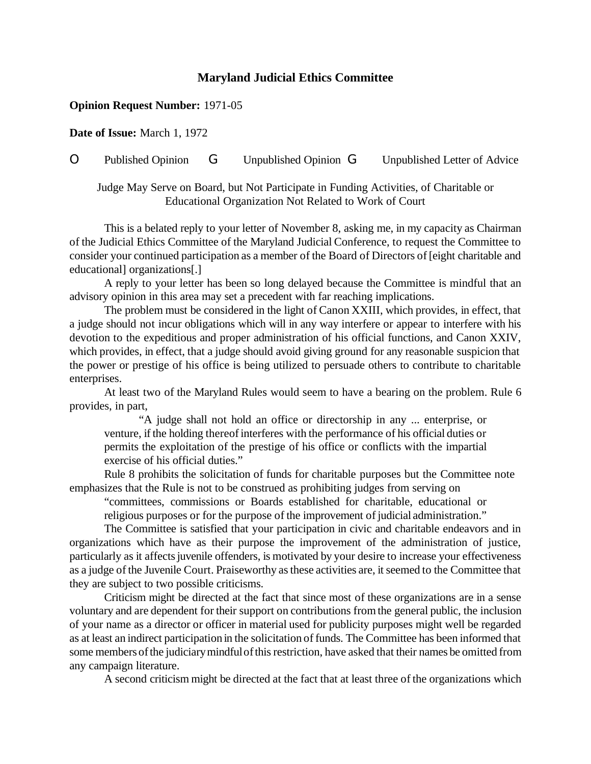## **Maryland Judicial Ethics Committee**

## **Opinion Request Number:** 1971-05

**Date of Issue:** March 1, 1972

O Published Opinion G Unpublished Opinion G Unpublished Letter of Advice

Judge May Serve on Board, but Not Participate in Funding Activities, of Charitable or Educational Organization Not Related to Work of Court

This is a belated reply to your letter of November 8, asking me, in my capacity as Chairman of the Judicial Ethics Committee of the Maryland Judicial Conference, to request the Committee to consider your continued participation as a member of the Board of Directors of [eight charitable and educational] organizations[.]

A reply to your letter has been so long delayed because the Committee is mindful that an advisory opinion in this area may set a precedent with far reaching implications.

The problem must be considered in the light of Canon XXIII, which provides, in effect, that a judge should not incur obligations which will in any way interfere or appear to interfere with his devotion to the expeditious and proper administration of his official functions, and Canon XXIV, which provides, in effect, that a judge should avoid giving ground for any reasonable suspicion that the power or prestige of his office is being utilized to persuade others to contribute to charitable enterprises.

At least two of the Maryland Rules would seem to have a bearing on the problem. Rule 6 provides, in part,

"A judge shall not hold an office or directorship in any ... enterprise, or venture, if the holding thereof interferes with the performance of his official duties or permits the exploitation of the prestige of his office or conflicts with the impartial exercise of his official duties."

Rule 8 prohibits the solicitation of funds for charitable purposes but the Committee note emphasizes that the Rule is not to be construed as prohibiting judges from serving on

"committees, commissions or Boards established for charitable, educational or religious purposes or for the purpose of the improvement of judicial administration."

The Committee is satisfied that your participation in civic and charitable endeavors and in organizations which have as their purpose the improvement of the administration of justice, particularly as it affects juvenile offenders, is motivated by your desire to increase your effectiveness as a judge of the Juvenile Court. Praiseworthy as these activities are, it seemed to the Committee that they are subject to two possible criticisms.

Criticism might be directed at the fact that since most of these organizations are in a sense voluntary and are dependent for their support on contributions fromthe general public, the inclusion of your name as a director or officer in material used for publicity purposes might well be regarded as at least an indirect participation in the solicitation of funds. The Committee has been informed that some members of the judiciary mindful of this restriction, have asked that their names be omitted from any campaign literature.

A second criticism might be directed at the fact that at least three of the organizations which